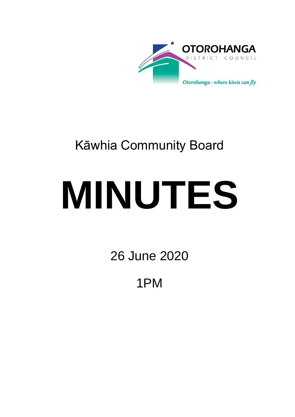

## Kāwhia Community Board

# **MINUTES**

26 June 2020

1PM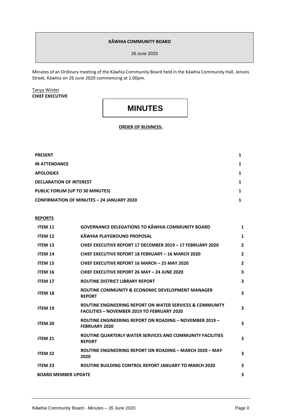#### **KĀWHIA COMMUNITY BOARD**

26 June 2020

Minutes of an Ordinary meeting of the Kāwhia Community Board held in the Kāwhia Community Hall, Jervois Street, Kāwhia on 26 June 2020 commencing at 1.00pm.

Tanya Winter **CHIEF EXECUTIVE**

### **MINUTES**

#### **ORDER OF BUSINESS:**

| <b>PRESENT</b>                                   |   |
|--------------------------------------------------|---|
| IN ATTENDANCE                                    | 1 |
| <b>APOLOGIES</b>                                 | 1 |
| <b>DECLARATION OF INTEREST</b>                   | 1 |
| PUBLIC FORUM (UP TO 30 MINUTES)                  |   |
| <b>CONFIRMATION OF MINUTES - 24 JANUARY 2020</b> |   |

#### **REPORTS**

| <b>ITEM 11</b>             | <b>GOVERNANCE DELEGATIONS TO KAWHIA COMMUNITY BOARD</b>                                                        | $\mathbf{1}$            |
|----------------------------|----------------------------------------------------------------------------------------------------------------|-------------------------|
| <b>ITEM 12</b>             | KĀWHIA PLAYGROUND PROPOSAL                                                                                     | $\mathbf{1}$            |
| <b>ITEM 13</b>             | CHIEF EXECUTIVE REPORT 17 DECEMBER 2019 - 17 FEBRUARY 2020                                                     | $\overline{2}$          |
| <b>ITEM 14</b>             | CHIEF EXECUTIVE REPORT 18 FEBRUARY - 16 MARCH 2020                                                             | $\overline{2}$          |
| <b>ITEM 15</b>             | <b>CHIEF EXECUTIVE REPORT 16 MARCH - 25 MAY 2020</b>                                                           | $\overline{2}$          |
| <b>ITEM 16</b>             | <b>CHIEF EXECUTIVE REPORT 26 MAY - 24 JUNE 2020</b>                                                            | 3                       |
| <b>ITEM 17</b>             | <b>ROUTINE DISTRICT LIBRARY REPORT</b>                                                                         | 3                       |
| <b>ITEM 18</b>             | ROUTINE COMMUNITY & ECONOMIC DEVELOPMENT MANAGER<br><b>REPORT</b>                                              | $\overline{\mathbf{3}}$ |
| <b>ITEM 19</b>             | ROUTINE ENGINEERING REPORT ON WATER SERVICES & COMMUNITY<br><b>FACILITIES - NOVEMBER 2019 TO FEBRUARY 2020</b> | 3                       |
| ITEM 20                    | <b>ROUTINE ENGINEERING REPORT ON ROADING - NOVEMBER 2019 -</b><br><b>FEBRUARY 2020</b>                         | 3                       |
| <b>ITEM 21</b>             | ROUTINE QUARTERLY WATER SERVICES AND COMMUNITY FACILITIES<br><b>REPORT</b>                                     | 3                       |
| <b>ITEM 22</b>             | ROUTINE ENGINEERING REPORT ON ROADING - MARCH 2020 - MAY<br>2020                                               | 3                       |
| <b>ITEM 23</b>             | <b>ROUTINE BUILDING CONTROL REPORT JANUARY TO MARCH 2020</b>                                                   | 3                       |
| <b>BOARD MEMBER UPDATE</b> |                                                                                                                |                         |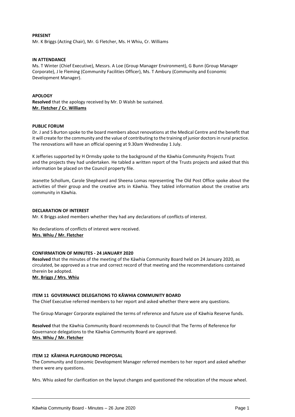#### **PRESENT**

Mr. K Briggs (Acting Chair), Mr. G Fletcher, Ms. H Whiu, Cr. Williams

#### **IN ATTENDANCE**

Ms. T Winter (Chief Executive), Messrs. A Loe (Group Manager Environment), G Bunn (Group Manager Corporate), J le Fleming (Community Facilities Officer), Ms. T Ambury (Community and Economic Development Manager).

#### **APOLOGY**

**Resolved** that the apology received by Mr. D Walsh be sustained. **Mr. Fletcher / Cr. Williams**

#### **PUBLIC FORUM**

Dr. J and S Burton spoke to the board members about renovations at the Medical Centre and the benefit that it will create for the community and the value of contributing to the training of junior doctors in rural practice. The renovations will have an official opening at 9.30am Wednesday 1 July.

K Jefferies supported by H Ormsby spoke to the background of the Kāwhia Community Projects Trust and the projects they had undertaken. He tabled a written report of the Trusts projects and asked that this information be placed on the Council property file.

Jeanette Schollum, Carole Shepheard and Sheena Lomas representing The Old Post Office spoke about the activities of their group and the creative arts in Kāwhia. They tabled information about the creative arts community in Kāwhia.

#### **DECLARATION OF INTEREST**

Mr. K Briggs asked members whether they had any declarations of conflicts of interest.

No declarations of conflicts of interest were received. **Mrs. Whiu / Mr. Fletcher**

#### **CONFIRMATION OF MINUTES - 24 JANUARY 2020**

**Resolved** that the minutes of the meeting of the Kāwhia Community Board held on 24 January 2020, as circulated, be approved as a true and correct record of that meeting and the recommendations contained therein be adopted.

**Mr. Briggs / Mrs. Whiu**

#### **ITEM 11 GOVERNANCE DELEGATIONS TO KĀWHIA COMMUNITY BOARD**

The Chief Executive referred members to her report and asked whether there were any questions.

The Group Manager Corporate explained the terms of reference and future use of Kāwhia Reserve funds.

**Resolved** that the Kāwhia Community Board recommends to Council that The Terms of Reference for Governance delegations to the Kāwhia Community Board are approved. **Mrs. Whiu / Mr. Fletcher**

#### **ITEM 12 KĀWHIA PLAYGROUND PROPOSAL**

The Community and Economic Development Manager referred members to her report and asked whether there were any questions.

Mrs. Whiu asked for clarification on the layout changes and questioned the relocation of the mouse wheel.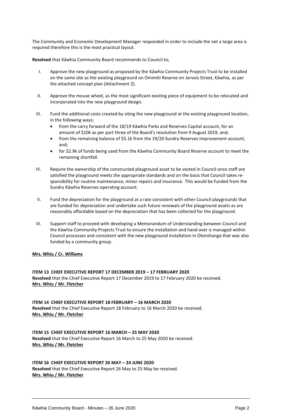The Community and Economic Development Manager responded in order to include the net a large area is required therefore this is the most practical layout.

**Resolved** that Kāwhia Community Board recommends to Council to;

- I. Approve the new playground as proposed by the Kāwhia Community Projects Trust to be installed on the same site as the existing playground on Omimiti Reserve on Jervois Street, Kāwhia, as per the attached concept plan (Attachment 2).
- II. Approve the mouse wheel, as the most significant existing piece of equipment to be relocated and incorporated into the new playground design.
- III. Fund the additional costs created by siting the new playground at the existing playground location, in the following ways;
	- from the carry forward of the 18/19 Kāwhia Parks and Reserves Capital account, for an amount of \$10k as per part three of the Board's resolution from 9 August 2019, and;
	- from the remaining balance of \$5.1k from the 19/20 Sundry Reserves Improvement account, and;
	- for \$2.9k of funds being used from the Kāwhia Community Board Reserve account to meet the remaining shortfall.
- IV. Require the ownership of the constructed playground asset to be vested in Council once staff are satisfied the playground meets the appropriate standards and on the basis that Council takes responsibility for routine maintenance, minor repairs and insurance. This would be funded from the Sundry Kāwhia Reserves operating account.
- V. Fund the depreciation for the playground at a rate consistent with other Council playgrounds that are funded for depreciation and undertake such future renewals of the playground assets as are reasonably affordable based on the depreciation that has been collected for the playground.
- VI. Support staff to proceed with developing a Memorandum of Understanding between Council and the Kāwhia Community Projects Trust to ensure the installation and hand over is managed within Council processes and consistent with the new playground installation in Otorohanga that was also funded by a community group.

**Mrs. Whiu / Cr. Williams**

**ITEM 13 CHIEF EXECUTIVE REPORT 17 DECEMBER 2019 – 17 FEBRUARY 2020 Resolved** that the Chief Executive Report 17 December 2019 to 17 February 2020 be received. **Mrs. Whiu / Mr. Fletcher**

**ITEM 14 CHIEF EXECUTIVE REPORT 18 FEBRUARY – 16 MARCH 2020 Resolved** that the Chief Executive Report 18 February to 16 March 2020 be received. **Mrs. Whiu / Mr. Fletcher**

**ITEM 15 CHIEF EXECUTIVE REPORT 16 MARCH – 25 MAY 2020 Resolved** that the Chief Executive Report 16 March to 25 May 2020 be received. **Mrs. Whiu / Mr. Fletcher**

**ITEM 16 CHIEF EXECUTIVE REPORT 26 MAY – 24 JUNE 2020 Resolved** that the Chief Executive Report 26 May to 25 May be received. **Mrs. Whiu / Mr. Fletcher**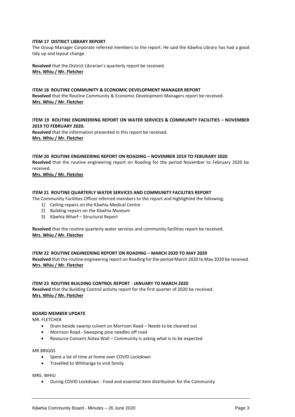#### **ITEM 17 DISTRICT LIBRARY REPORT**

The Group Manager Corporate referred members to the report. He said the Kāwhia Library has had a good tidy up and layout change.

**Resolved** that the District Librarian's quarterly report be received. **Mrs. Whiu / Mr. Fletcher** 

#### **ITEM 18 ROUTINE COMMUNITY & ECONOMIC DEVELOPMENT MANAGER REPORT**

**Resolved** that the Routine Community & Economic Development Managers report be received. **Mrs. Whiu / Mr. Fletcher**

#### **ITEM 19 ROUTINE ENGINEERING REPORT ON WATER SERVICES & COMMUNITY FACILITIES – NOVEMBER 2019 TO FEBRUARY 2020.**

**Resolved** that the information presented in this report be received. **Mrs. Whiu / Mr. Fletcher**

#### **ITEM 20 ROUTINE ENGINEERING REPORT ON ROADING – NOVEMBER 2019 TO FEBURARY 2020**

**Resolved** that the routine engineering report on Roading for the period November to February 2020 be received.

**Mrs. Whiu / Mr. Fletcher**

#### **ITEM 21 ROUTINE QUARTERLY WATER SERVICES AND COMMUNITY FACILITIES REPORT**

The Community Facilities Officer referred members to the report and highlighted the following;

- 1) Ceiling repairs on the Kāwhia Medical Centre
- 2) Building repairs on the Kāwhia Museum
- 3) Kāwhia Wharf Structural Report

**Resolved** that the routine quarterly water services and community facilities report be received. **Mrs. Whiu / Mr. Fletcher**

#### **ITEM 22 ROUTINE ENGINEERING REPORT ON ROADING – MARCH 2020 TO MAY 2020**

**Resolved** that the routine engineering report on Roading for the period March 2020 to May 2020 be received. **Mrs. Whiu / Mr. Fletcher**

#### **ITEM 23 ROUTINE BUILDING CONTROL REPORT - JANUARY TO MARCH 2020**

**Resolved** that the Building Control activity report for the first quarter of 2020 be received. **Mrs. Whiu / Mr. Fletcher**

#### **BOARD MEMBER UPDATE**

MR. FLETCHER

- Drain beside swamp culvert on Morrison Road Needs to be cleaned out
- Morrison Road Sweeping pine needles off road
- Resource Consent Aotea Wall Community is asking what is to be expected

#### MR BRIGGS

- Spent a lot of time at home over COVID Lockdown
- Travelled to Whitianga to visit family

MRS. WHIU

During COVID Lockdown - Food and essential item distribution for the Community